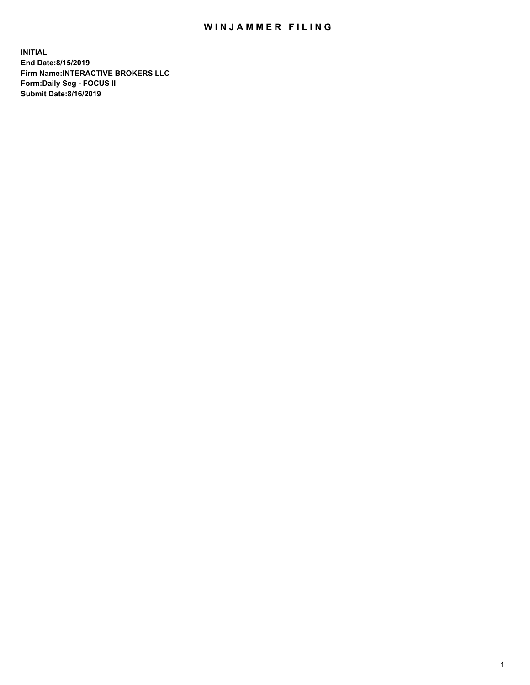## WIN JAMMER FILING

**INITIAL End Date:8/15/2019 Firm Name:INTERACTIVE BROKERS LLC Form:Daily Seg - FOCUS II Submit Date:8/16/2019**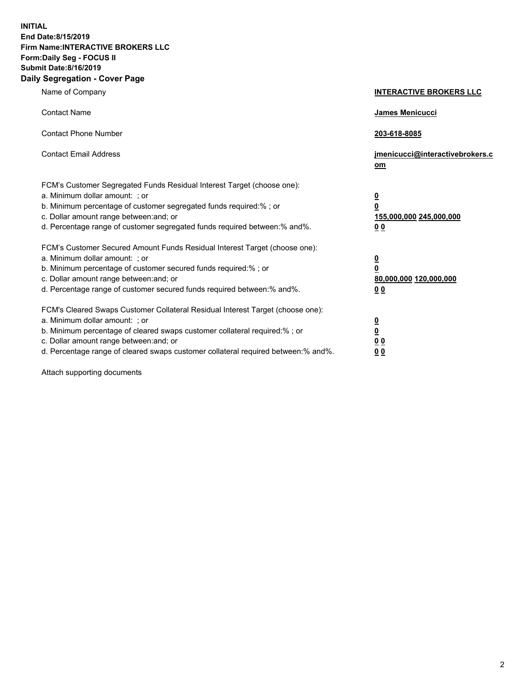**INITIAL End Date:8/15/2019 Firm Name:INTERACTIVE BROKERS LLC Form:Daily Seg - FOCUS II Submit Date:8/16/2019 Daily Segregation - Cover Page**

| Name of Company                                                                                                                                                                                                                                                                                                                | <b>INTERACTIVE BROKERS LLC</b>                                                                  |
|--------------------------------------------------------------------------------------------------------------------------------------------------------------------------------------------------------------------------------------------------------------------------------------------------------------------------------|-------------------------------------------------------------------------------------------------|
| <b>Contact Name</b>                                                                                                                                                                                                                                                                                                            | James Menicucci                                                                                 |
| <b>Contact Phone Number</b>                                                                                                                                                                                                                                                                                                    | 203-618-8085                                                                                    |
| <b>Contact Email Address</b>                                                                                                                                                                                                                                                                                                   | jmenicucci@interactivebrokers.c<br>om                                                           |
| FCM's Customer Segregated Funds Residual Interest Target (choose one):<br>a. Minimum dollar amount: ; or<br>b. Minimum percentage of customer segregated funds required:% ; or<br>c. Dollar amount range between: and; or<br>d. Percentage range of customer segregated funds required between:% and%.                         | $\overline{\mathbf{0}}$<br>$\overline{\mathbf{0}}$<br>155,000,000 245,000,000<br>0 <sub>0</sub> |
| FCM's Customer Secured Amount Funds Residual Interest Target (choose one):<br>a. Minimum dollar amount: ; or<br>b. Minimum percentage of customer secured funds required:%; or<br>c. Dollar amount range between: and; or<br>d. Percentage range of customer secured funds required between:% and%.                            | $\overline{\mathbf{0}}$<br>$\overline{\mathbf{0}}$<br>80,000,000 120,000,000<br>00              |
| FCM's Cleared Swaps Customer Collateral Residual Interest Target (choose one):<br>a. Minimum dollar amount: ; or<br>b. Minimum percentage of cleared swaps customer collateral required:% ; or<br>c. Dollar amount range between: and; or<br>d. Percentage range of cleared swaps customer collateral required between:% and%. | $\overline{\mathbf{0}}$<br>$\underline{\mathbf{0}}$<br>0 <sub>0</sub><br>0 <sub>0</sub>         |

Attach supporting documents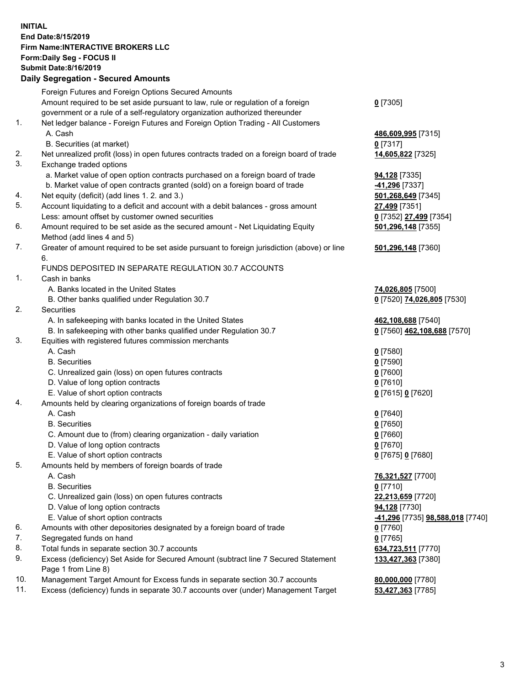## **INITIAL End Date:8/15/2019 Firm Name:INTERACTIVE BROKERS LLC Form:Daily Seg - FOCUS II Submit Date:8/16/2019 Daily Segregation - Secured Amounts**

|     | Daily Segregation - Secured Amounts                                                         |                                                |
|-----|---------------------------------------------------------------------------------------------|------------------------------------------------|
|     | Foreign Futures and Foreign Options Secured Amounts                                         |                                                |
|     | Amount required to be set aside pursuant to law, rule or regulation of a foreign            | $0$ [7305]                                     |
|     | government or a rule of a self-regulatory organization authorized thereunder                |                                                |
| 1.  | Net ledger balance - Foreign Futures and Foreign Option Trading - All Customers             |                                                |
|     | A. Cash                                                                                     | 486,609,995 [7315]                             |
|     | B. Securities (at market)                                                                   | $0$ [7317]                                     |
| 2.  | Net unrealized profit (loss) in open futures contracts traded on a foreign board of trade   | 14,605,822 [7325]                              |
| 3.  | Exchange traded options                                                                     |                                                |
|     | a. Market value of open option contracts purchased on a foreign board of trade              | <b>94,128</b> [7335]                           |
|     | b. Market value of open contracts granted (sold) on a foreign board of trade                | -41,296 [7337]                                 |
| 4.  | Net equity (deficit) (add lines 1. 2. and 3.)                                               | 501,268,649 [7345]                             |
| 5.  | Account liquidating to a deficit and account with a debit balances - gross amount           | 27,499 [7351]                                  |
|     | Less: amount offset by customer owned securities                                            | 0 [7352] 27,499 [7354]                         |
| 6.  | Amount required to be set aside as the secured amount - Net Liquidating Equity              | 501,296,148 [7355]                             |
|     | Method (add lines 4 and 5)                                                                  |                                                |
| 7.  | Greater of amount required to be set aside pursuant to foreign jurisdiction (above) or line | 501,296,148 [7360]                             |
|     | 6.                                                                                          |                                                |
|     | FUNDS DEPOSITED IN SEPARATE REGULATION 30.7 ACCOUNTS                                        |                                                |
| 1.  | Cash in banks                                                                               |                                                |
|     | A. Banks located in the United States                                                       | 74,026,805 [7500]                              |
|     | B. Other banks qualified under Regulation 30.7                                              | 0 [7520] 74,026,805 [7530]                     |
| 2.  | Securities                                                                                  |                                                |
|     | A. In safekeeping with banks located in the United States                                   | 462,108,688 [7540]                             |
|     | B. In safekeeping with other banks qualified under Regulation 30.7                          | 0 [7560] 462,108,688 [7570]                    |
| 3.  | Equities with registered futures commission merchants                                       |                                                |
|     | A. Cash                                                                                     | $0$ [7580]                                     |
|     | <b>B.</b> Securities                                                                        | $0$ [7590]                                     |
|     | C. Unrealized gain (loss) on open futures contracts                                         | $0$ [7600]                                     |
|     | D. Value of long option contracts                                                           | $0$ [7610]                                     |
|     | E. Value of short option contracts                                                          | 0 [7615] 0 [7620]                              |
| 4.  | Amounts held by clearing organizations of foreign boards of trade                           |                                                |
|     | A. Cash                                                                                     | $0$ [7640]                                     |
|     | <b>B.</b> Securities                                                                        | $0$ [7650]                                     |
|     | C. Amount due to (from) clearing organization - daily variation                             | $0$ [7660]                                     |
|     | D. Value of long option contracts                                                           | $0$ [7670]                                     |
| 5.  | E. Value of short option contracts                                                          | 0 [7675] 0 [7680]                              |
|     | Amounts held by members of foreign boards of trade<br>A. Cash                               | 76,321,527 [7700]                              |
|     | <b>B.</b> Securities                                                                        | $0$ [7710]                                     |
|     | C. Unrealized gain (loss) on open futures contracts                                         | 22,213,659 [7720]                              |
|     | D. Value of long option contracts                                                           | 94,128 [7730]                                  |
|     | E. Value of short option contracts                                                          | <u>-41,296</u> [7735] <u>98,588,018</u> [7740] |
| 6.  | Amounts with other depositories designated by a foreign board of trade                      | $0$ [7760]                                     |
| 7.  | Segregated funds on hand                                                                    | $0$ [7765]                                     |
| 8.  | Total funds in separate section 30.7 accounts                                               | 634,723,511 [7770]                             |
| 9.  | Excess (deficiency) Set Aside for Secured Amount (subtract line 7 Secured Statement         | 133,427,363 [7380]                             |
|     | Page 1 from Line 8)                                                                         |                                                |
| 10. | Management Target Amount for Excess funds in separate section 30.7 accounts                 | 80,000,000 [7780]                              |
| 11. | Excess (deficiency) funds in separate 30.7 accounts over (under) Management Target          | 53,427,363 [7785]                              |
|     |                                                                                             |                                                |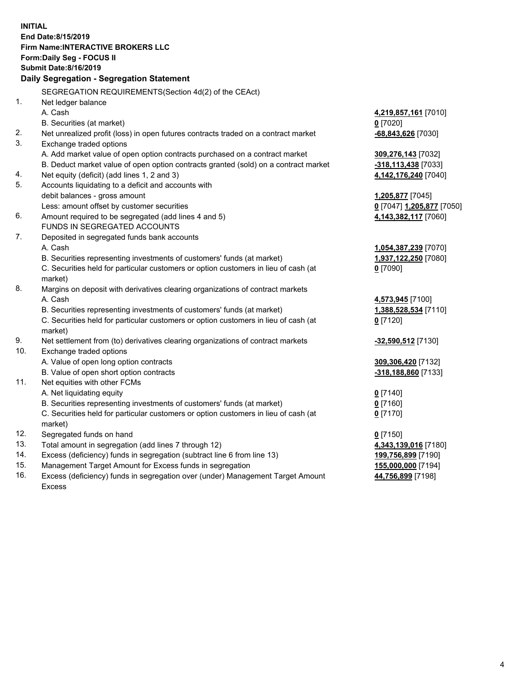**INITIAL End Date:8/15/2019 Firm Name:INTERACTIVE BROKERS LLC Form:Daily Seg - FOCUS II Submit Date:8/16/2019 Daily Segregation - Segregation Statement** SEGREGATION REQUIREMENTS(Section 4d(2) of the CEAct) 1. Net ledger balance A. Cash **4,219,857,161** [7010] B. Securities (at market) **0** [7020] 2. Net unrealized profit (loss) in open futures contracts traded on a contract market **-68,843,626** [7030] 3. Exchange traded options A. Add market value of open option contracts purchased on a contract market **309,276,143** [7032] B. Deduct market value of open option contracts granted (sold) on a contract market **-318,113,438** [7033] 4. Net equity (deficit) (add lines 1, 2 and 3) **4,142,176,240** [7040] 5. Accounts liquidating to a deficit and accounts with debit balances - gross amount **1,205,877** [7045] Less: amount offset by customer securities **0** [7047] **1,205,877** [7050] 6. Amount required to be segregated (add lines 4 and 5) **4,143,382,117** [7060] FUNDS IN SEGREGATED ACCOUNTS 7. Deposited in segregated funds bank accounts A. Cash **1,054,387,239** [7070] B. Securities representing investments of customers' funds (at market) **1,937,122,250** [7080] C. Securities held for particular customers or option customers in lieu of cash (at market) **0** [7090] 8. Margins on deposit with derivatives clearing organizations of contract markets A. Cash **4,573,945** [7100] B. Securities representing investments of customers' funds (at market) **1,388,528,534** [7110] C. Securities held for particular customers or option customers in lieu of cash (at market) **0** [7120] 9. Net settlement from (to) derivatives clearing organizations of contract markets **-32,590,512** [7130] 10. Exchange traded options A. Value of open long option contracts **309,306,420** [7132] B. Value of open short option contracts **-318,188,860** [7133] 11. Net equities with other FCMs A. Net liquidating equity **0** [7140] B. Securities representing investments of customers' funds (at market) **0** [7160] C. Securities held for particular customers or option customers in lieu of cash (at market) **0** [7170] 12. Segregated funds on hand **0** [7150] 13. Total amount in segregation (add lines 7 through 12) **4,343,139,016** [7180] 14. Excess (deficiency) funds in segregation (subtract line 6 from line 13) **199,756,899** [7190] 15. Management Target Amount for Excess funds in segregation **155,000,000** [7194]

16. Excess (deficiency) funds in segregation over (under) Management Target Amount Excess

**44,756,899** [7198]